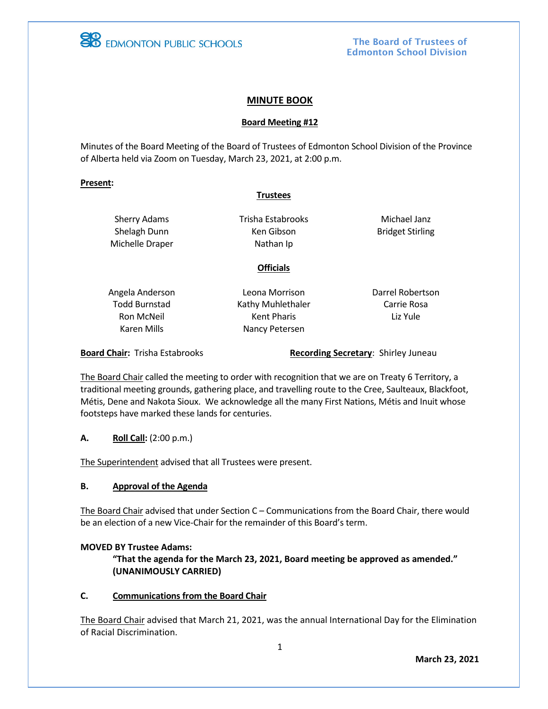

The Board of Trustees of Edmonton School Division

## **MINUTE BOOK**

#### **Board Meeting #12**

Minutes of the Board Meeting of the Board of Trustees of Edmonton School Division of the Province of Alberta held via Zoom on Tuesday, March 23, 2021, at 2:00 p.m.

#### **Present:**

#### **Trustees**

Sherry Adams Shelagh Dunn Michelle Draper Trisha Estabrooks Ken Gibson Nathan Ip

**Officials**

Michael Janz Bridget Stirling

Angela Anderson Todd Burnstad Ron McNeil Karen Mills

Leona Morrison Kathy Muhlethaler Kent Pharis Nancy Petersen

Darrel Robertson Carrie Rosa Liz Yule

**Board Chair:** Trisha Estabrooks **Recording Secretary: Shirley Juneau** 

The Board Chair called the meeting to order with recognition that we are on Treaty 6 Territory, a traditional meeting grounds, gathering place, and travelling route to the Cree, Saulteaux, Blackfoot, Métis, Dene and Nakota Sioux. We acknowledge all the many First Nations, Métis and Inuit whose footsteps have marked these lands for centuries.

## **A. Roll Call:** (2:00 p.m.)

The Superintendent advised that all Trustees were present.

## **B. Approval of the Agenda**

The Board Chair advised that under Section C – Communications from the Board Chair, there would be an election of a new Vice-Chair for the remainder of this Board's term.

## **MOVED BY Trustee Adams:**

**"That the agenda for the March 23, 2021, Board meeting be approved as amended." (UNANIMOUSLY CARRIED)**

## **C. Communications from the Board Chair**

The Board Chair advised that March 21, 2021, was the annual International Day for the Elimination of Racial Discrimination.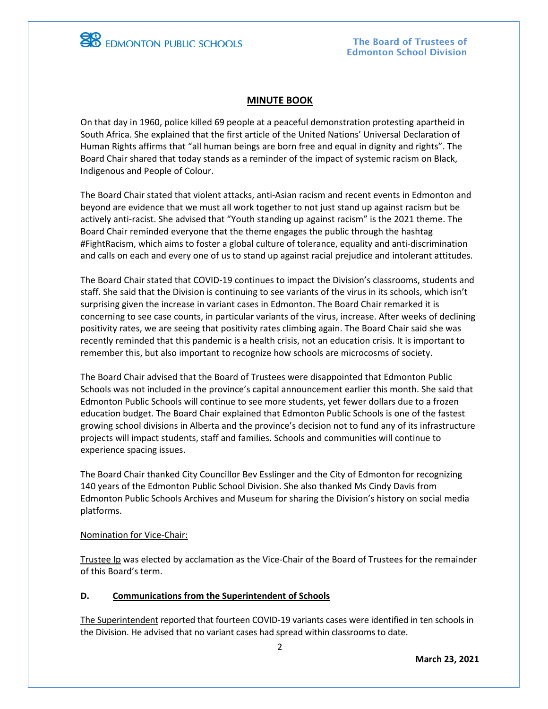

**EDMONTON PUBLIC SCHOOLS** 

## **MINUTE BOOK**

On that day in 1960, police killed 69 people at a peaceful demonstration protesting apartheid in South Africa. She explained that the first article of the United Nations' Universal Declaration of Human Rights affirms that "all human beings are born free and equal in dignity and rights". The Board Chair shared that today stands as a reminder of the impact of systemic racism on Black, Indigenous and People of Colour.

The Board Chair stated that violent attacks, anti-Asian racism and recent events in Edmonton and beyond are evidence that we must all work together to not just stand up against racism but be actively anti-racist. She advised that "Youth standing up against racism" is the 2021 theme. The Board Chair reminded everyone that the theme engages the public through the hashtag #FightRacism, which aims to foster a global culture of tolerance, equality and anti-discrimination and calls on each and every one of us to stand up against racial prejudice and intolerant attitudes.

The Board Chair stated that COVID-19 continues to impact the Division's classrooms, students and staff. She said that the Division is continuing to see variants of the virus in its schools, which isn't surprising given the increase in variant cases in Edmonton. The Board Chair remarked it is concerning to see case counts, in particular variants of the virus, increase. After weeks of declining positivity rates, we are seeing that positivity rates climbing again. The Board Chair said she was recently reminded that this pandemic is a health crisis, not an education crisis. It is important to remember this, but also important to recognize how schools are microcosms of society.

The Board Chair advised that the Board of Trustees were disappointed that Edmonton Public Schools was not included in the province's capital announcement earlier this month. She said that Edmonton Public Schools will continue to see more students, yet fewer dollars due to a frozen education budget. The Board Chair explained that Edmonton Public Schools is one of the fastest growing school divisions in Alberta and the province's decision not to fund any of its infrastructure projects will impact students, staff and families. Schools and communities will continue to experience spacing issues.

The Board Chair thanked City Councillor Bev Esslinger and the City of Edmonton for recognizing 140 years of the Edmonton Public School Division. She also thanked Ms Cindy Davis from Edmonton Public Schools Archives and Museum for sharing the Division's history on social media platforms.

## Nomination for Vice-Chair:

Trustee Ip was elected by acclamation as the Vice-Chair of the Board of Trustees for the remainder of this Board's term.

## **D. Communications from the Superintendent of Schools**

The Superintendent reported that fourteen COVID-19 variants cases were identified in ten schools in the Division. He advised that no variant cases had spread within classrooms to date.

**March 23, 2021**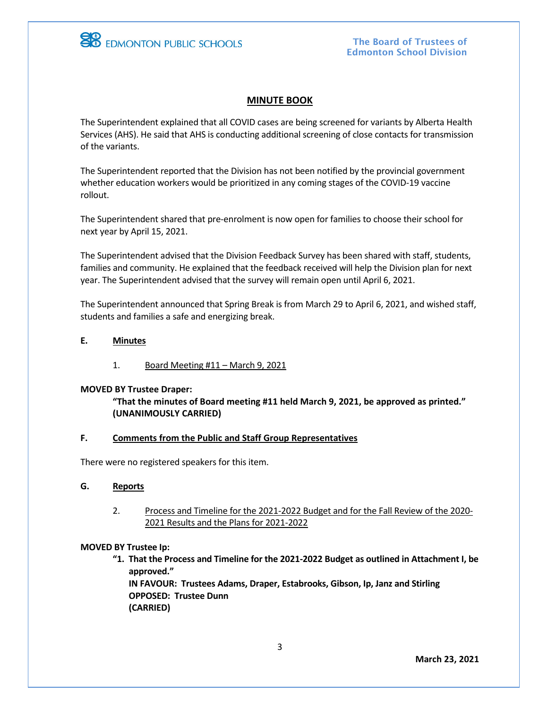

**EB** EDMONTON PUBLIC SCHOOLS

## **MINUTE BOOK**

The Superintendent explained that all COVID cases are being screened for variants by Alberta Health Services (AHS). He said that AHS is conducting additional screening of close contacts for transmission of the variants.

The Superintendent reported that the Division has not been notified by the provincial government whether education workers would be prioritized in any coming stages of the COVID-19 vaccine rollout.

The Superintendent shared that pre-enrolment is now open for families to choose their school for next year by April 15, 2021.

The Superintendent advised that the Division Feedback Survey has been shared with staff, students, families and community. He explained that the feedback received will help the Division plan for next year. The Superintendent advised that the survey will remain open until April 6, 2021.

The Superintendent announced that Spring Break is from March 29 to April 6, 2021, and wished staff, students and families a safe and energizing break.

#### **E. Minutes**

1. Board Meeting #11 – March 9, 2021

#### **MOVED BY Trustee Draper:**

**"That the minutes of Board meeting #11 held March 9, 2021, be approved as printed." (UNANIMOUSLY CARRIED)**

## **F. Comments from the Public and Staff Group Representatives**

There were no registered speakers for this item.

- **G. Reports**
	- 2. Process and Timeline for the 2021-2022 Budget and for the Fall Review of the 2020- 2021 Results and the Plans for 2021-2022

## **MOVED BY Trustee Ip:**

**"1. That the Process and Timeline for the 2021-2022 Budget as outlined in Attachment I, be approved." IN FAVOUR: Trustees Adams, Draper, Estabrooks, Gibson, Ip, Janz and Stirling**

**OPPOSED: Trustee Dunn (CARRIED)**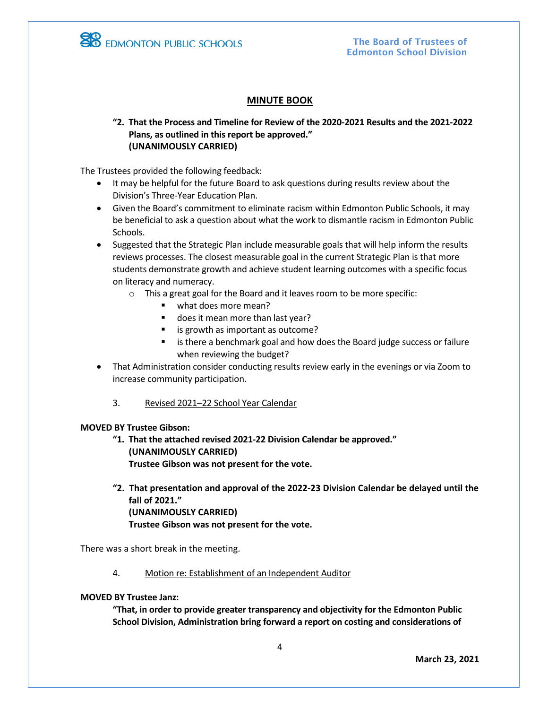

# **MINUTE BOOK**

**"2. That the Process and Timeline for Review of the 2020-2021 Results and the 2021-2022 Plans, as outlined in this report be approved." (UNANIMOUSLY CARRIED)**

The Trustees provided the following feedback:

- It may be helpful for the future Board to ask questions during results review about the Division's Three-Year Education Plan.
- Given the Board's commitment to eliminate racism within Edmonton Public Schools, it may be beneficial to ask a question about what the work to dismantle racism in Edmonton Public Schools.
- Suggested that the Strategic Plan include measurable goals that will help inform the results reviews processes. The closest measurable goal in the current Strategic Plan is that more students demonstrate growth and achieve student learning outcomes with a specific focus on literacy and numeracy.
	- o This a great goal for the Board and it leaves room to be more specific:
		- what does more mean?
		- does it mean more than last year?
		- is growth as important as outcome?
		- is there a benchmark goal and how does the Board judge success or failure when reviewing the budget?
- That Administration consider conducting results review early in the evenings or via Zoom to increase community participation.
	- 3. Revised 2021–22 School Year Calendar

#### **MOVED BY Trustee Gibson:**

- **"1. That the attached revised 2021-22 Division Calendar be approved." (UNANIMOUSLY CARRIED) Trustee Gibson was not present for the vote.**
- **"2. That presentation and approval of the 2022-23 Division Calendar be delayed until the fall of 2021." (UNANIMOUSLY CARRIED) Trustee Gibson was not present for the vote.**

There was a short break in the meeting.

4. Motion re: Establishment of an Independent Auditor

#### **MOVED BY Trustee Janz:**

**"That, in order to provide greater transparency and objectivity for the Edmonton Public School Division, Administration bring forward a report on costing and considerations of**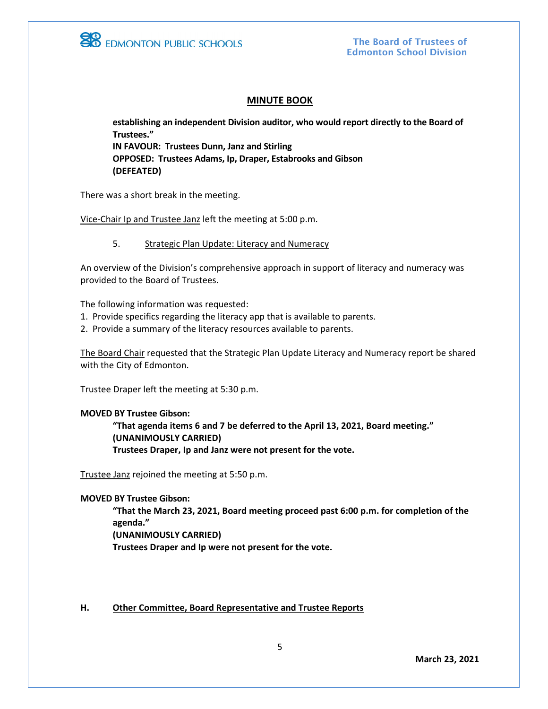

The Board of Trustees of Edmonton School Division

#### **MINUTE BOOK**

**establishing an independent Division auditor, who would report directly to the Board of Trustees." IN FAVOUR: Trustees Dunn, Janz and Stirling OPPOSED: Trustees Adams, Ip, Draper, Estabrooks and Gibson (DEFEATED)**

There was a short break in the meeting.

Vice-Chair Ip and Trustee Janz left the meeting at 5:00 p.m.

5. Strategic Plan Update: Literacy and Numeracy

An overview of the Division's comprehensive approach in support of literacy and numeracy was provided to the Board of Trustees.

The following information was requested:

- 1. Provide specifics regarding the literacy app that is available to parents.
- 2. Provide a summary of the literacy resources available to parents.

The Board Chair requested that the Strategic Plan Update Literacy and Numeracy report be shared with the City of Edmonton.

Trustee Draper left the meeting at 5:30 p.m.

#### **MOVED BY Trustee Gibson:**

**"That agenda items 6 and 7 be deferred to the April 13, 2021, Board meeting." (UNANIMOUSLY CARRIED) Trustees Draper, Ip and Janz were not present for the vote.** 

Trustee Janz rejoined the meeting at 5:50 p.m.

**MOVED BY Trustee Gibson:**

**"That the March 23, 2021, Board meeting proceed past 6:00 p.m. for completion of the agenda." (UNANIMOUSLY CARRIED)**

**Trustees Draper and Ip were not present for the vote.** 

**H. Other Committee, Board Representative and Trustee Reports**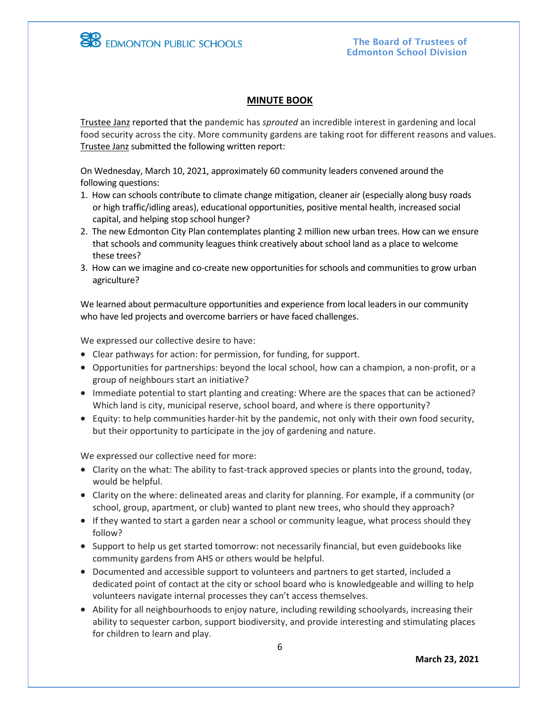

# **MINUTE BOOK**

Trustee Janz reported that the pandemic has *sprouted* an incredible interest in gardening and local food security across the city. More community gardens are taking root for different reasons and values. Trustee Janz submitted the following written report:

On Wednesday, March 10, 2021, approximately 60 community leaders convened around the following questions:

- 1. How can schools contribute to climate change mitigation, cleaner air (especially along busy roads or high traffic/idling areas), educational opportunities, positive mental health, increased social capital, and helping stop school hunger?
- 2. The new Edmonton City Plan contemplates planting 2 million new urban trees. How can we ensure that schools and community leagues think creatively about school land as a place to welcome these trees?
- 3. How can we imagine and co-create new opportunities for schools and communities to grow urban agriculture?

We learned about permaculture opportunities and experience from local leaders in our community who have led projects and overcome barriers or have faced challenges.

We expressed our collective desire to have:

- Clear pathways for action: for permission, for funding, for support.
- Opportunities for partnerships: beyond the local school, how can a champion, a non-profit, or a group of neighbours start an initiative?
- Immediate potential to start planting and creating: Where are the spaces that can be actioned? Which land is city, municipal reserve, school board, and where is there opportunity?
- Equity: to help communities harder-hit by the pandemic, not only with their own food security, but their opportunity to participate in the joy of gardening and nature.

We expressed our collective need for more:

- Clarity on the what: The ability to fast-track approved species or plants into the ground, today, would be helpful.
- Clarity on the where: delineated areas and clarity for planning. For example, if a community (or school, group, apartment, or club) wanted to plant new trees, who should they approach?
- If they wanted to start a garden near a school or community league, what process should they follow?
- Support to help us get started tomorrow: not necessarily financial, but even guidebooks like community gardens from AHS or others would be helpful.
- Documented and accessible support to volunteers and partners to get started, included a dedicated point of contact at the city or school board who is knowledgeable and willing to help volunteers navigate internal processes they can't access themselves.
- Ability for all neighbourhoods to enjoy nature, including rewilding schoolyards, increasing their ability to sequester carbon, support biodiversity, and provide interesting and stimulating places for children to learn and play.